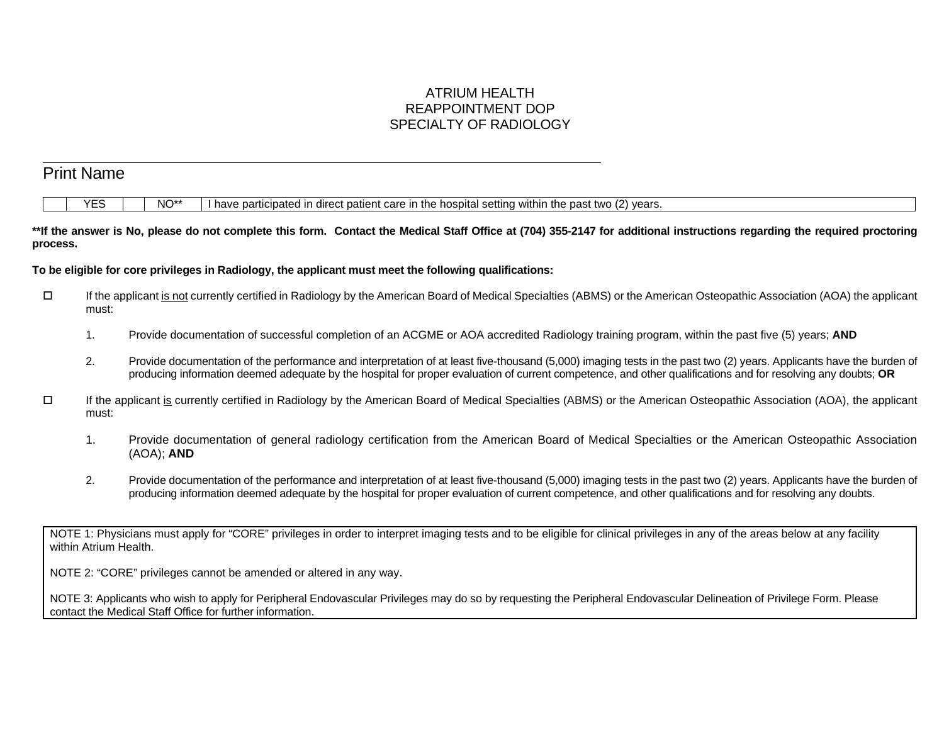# ATRIUM HEALTH REAPPOINTMENT DOP SPECIALTY OF RADIOLOGY

|          | <b>YES</b>     | NO**<br>I have participated in direct patient care in the hospital setting within the past two (2) years.                                                                                                                                                                                                                            |
|----------|----------------|--------------------------------------------------------------------------------------------------------------------------------------------------------------------------------------------------------------------------------------------------------------------------------------------------------------------------------------|
| process. |                | **If the answer is No, please do not complete this form. Contact the Medical Staff Office at (704) 355-2147 for additional instructions regarding the required proctoring                                                                                                                                                            |
|          |                | To be eligible for core privileges in Radiology, the applicant must meet the following qualifications:                                                                                                                                                                                                                               |
| $\Box$   | must:          | If the applicant is not currently certified in Radiology by the American Board of Medical Specialties (ABMS) or the American Osteopathic Association (AOA) the applicant                                                                                                                                                             |
|          | $\mathbf{1}$ . | Provide documentation of successful completion of an ACGME or AOA accredited Radiology training program, within the past five (5) years; AND                                                                                                                                                                                         |
|          | 2.             | Provide documentation of the performance and interpretation of at least five-thousand (5,000) imaging tests in the past two (2) years. Applicants have the burden of<br>producing information deemed adequate by the hospital for proper evaluation of current competence, and other qualifications and for resolving any doubts; OR |
| □        | must:          | If the applicant is currently certified in Radiology by the American Board of Medical Specialties (ABMS) or the American Osteopathic Association (AOA), the applicant                                                                                                                                                                |
|          | 1.             | Provide documentation of general radiology certification from the American Board of Medical Specialties or the American Osteopathic Association<br>$(AOA)$ ; AND                                                                                                                                                                     |
|          | 2.             | Provide documentation of the performance and interpretation of at least five-thousand (5,000) imaging tests in the past two (2) years. Applicants have the burden of<br>producing information deemed adequate by the hospital for proper evaluation of current competence, and other qualifications and for resolving any doubts.    |

NOTE 1: Physicians must apply for "CORE" privileges in order to interpret imaging tests and to be eligible for clinical privileges in any of the areas below at any facility within Atrium Health.

NOTE 2: "CORE" privileges cannot be amended or altered in any way.

NOTE 3: Applicants who wish to apply for Peripheral Endovascular Privileges may do so by requesting the Peripheral Endovascular Delineation of Privilege Form. Please contact the Medical Staff Office for further information.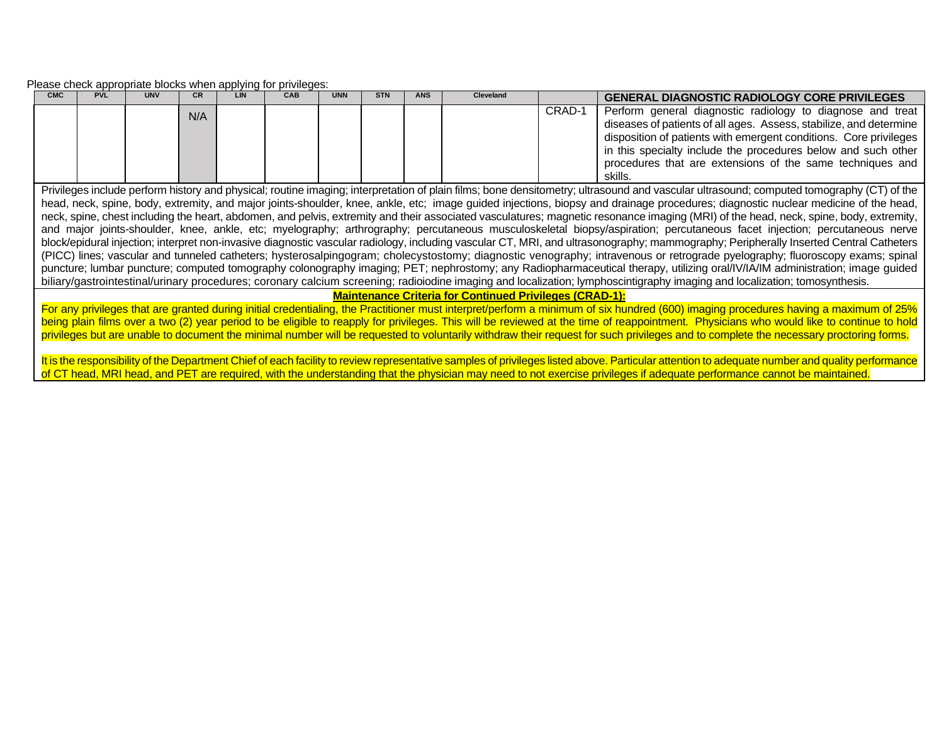Please check appropriate blocks when applying for privileges:

| <b>CMC</b>                                                                                                                                                                                                                                                                                                                                                                                                                                                                                                                                                                                                                                                                                                                                                                                                                                                                                                                                                                                                                                                                                                                                                                                                                                                                                                                                                                                                                                                                                | <b>PVL</b>                                                                                                                                                                                                                                                                                                                                                                                                                                                                                                                                                              | <b>UNV</b> | CR  | <b>LIN</b> | CAB | <b>UNN</b> | <b>STN</b> | <b>ANS</b> | Cleveland                                                      |        | <b>GENERAL DIAGNOSTIC RADIOLOGY CORE PRIVILEGES</b>                                                                                                                                                                                                                    |
|-------------------------------------------------------------------------------------------------------------------------------------------------------------------------------------------------------------------------------------------------------------------------------------------------------------------------------------------------------------------------------------------------------------------------------------------------------------------------------------------------------------------------------------------------------------------------------------------------------------------------------------------------------------------------------------------------------------------------------------------------------------------------------------------------------------------------------------------------------------------------------------------------------------------------------------------------------------------------------------------------------------------------------------------------------------------------------------------------------------------------------------------------------------------------------------------------------------------------------------------------------------------------------------------------------------------------------------------------------------------------------------------------------------------------------------------------------------------------------------------|-------------------------------------------------------------------------------------------------------------------------------------------------------------------------------------------------------------------------------------------------------------------------------------------------------------------------------------------------------------------------------------------------------------------------------------------------------------------------------------------------------------------------------------------------------------------------|------------|-----|------------|-----|------------|------------|------------|----------------------------------------------------------------|--------|------------------------------------------------------------------------------------------------------------------------------------------------------------------------------------------------------------------------------------------------------------------------|
|                                                                                                                                                                                                                                                                                                                                                                                                                                                                                                                                                                                                                                                                                                                                                                                                                                                                                                                                                                                                                                                                                                                                                                                                                                                                                                                                                                                                                                                                                           |                                                                                                                                                                                                                                                                                                                                                                                                                                                                                                                                                                         |            | N/A |            |     |            |            |            |                                                                | CRAD-1 | Perform general diagnostic radiology to diagnose and treat<br>diseases of patients of all ages. Assess, stabilize, and determine<br>disposition of patients with emergent conditions. Core privileges<br>in this specialty include the procedures below and such other |
|                                                                                                                                                                                                                                                                                                                                                                                                                                                                                                                                                                                                                                                                                                                                                                                                                                                                                                                                                                                                                                                                                                                                                                                                                                                                                                                                                                                                                                                                                           |                                                                                                                                                                                                                                                                                                                                                                                                                                                                                                                                                                         |            |     |            |     |            |            |            |                                                                |        | procedures that are extensions of the same techniques and<br>skills.                                                                                                                                                                                                   |
| Privileges include perform history and physical; routine imaging; interpretation of plain films; bone densitometry; ultrasound and vascular ultrasound; computed tomography (CT) of the<br>head, neck, spine, body, extremity, and major joints-shoulder, knee, ankle, etc; image guided injections, biopsy and drainage procedures; diagnostic nuclear medicine of the head,<br>neck, spine, chest including the heart, abdomen, and pelvis, extremity and their associated vasculatures; magnetic resonance imaging (MRI) of the head, neck, spine, body, extremity,<br>and major joints-shoulder, knee, ankle, etc; myelography; arthrography; percutaneous musculoskeletal biopsy/aspiration; percutaneous facet injection; percutaneous nerve<br>block/epidural injection; interpret non-invasive diagnostic vascular radiology, including vascular CT, MRI, and ultrasonography; mammography; Peripherally Inserted Central Catheters<br>(PICC) lines; vascular and tunneled catheters; hysterosalpingogram; cholecystostomy; diagnostic venography; intravenous or retrograde pyelography; fluoroscopy exams; spinal<br>puncture; lumbar puncture; computed tomography colonography imaging; PET; nephrostomy; any Radiopharmaceutical therapy, utilizing oral/IV/IA/IM administration; image guided<br>biliary/gastrointestinal/urinary procedures; coronary calcium screening; radioiodine imaging and localization; lymphoscintigraphy imaging and localization; tomosynthesis. |                                                                                                                                                                                                                                                                                                                                                                                                                                                                                                                                                                         |            |     |            |     |            |            |            |                                                                |        |                                                                                                                                                                                                                                                                        |
|                                                                                                                                                                                                                                                                                                                                                                                                                                                                                                                                                                                                                                                                                                                                                                                                                                                                                                                                                                                                                                                                                                                                                                                                                                                                                                                                                                                                                                                                                           |                                                                                                                                                                                                                                                                                                                                                                                                                                                                                                                                                                         |            |     |            |     |            |            |            | <b>Maintenance Criteria for Continued Privileges (CRAD-1):</b> |        |                                                                                                                                                                                                                                                                        |
|                                                                                                                                                                                                                                                                                                                                                                                                                                                                                                                                                                                                                                                                                                                                                                                                                                                                                                                                                                                                                                                                                                                                                                                                                                                                                                                                                                                                                                                                                           | For any privileges that are granted during initial credentialing, the Practitioner must interpret/perform a minimum of six hundred (600) imaging procedures having a maximum of 25%<br>being plain films over a two (2) year period to be eligible to reapply for privileges. This will be reviewed at the time of reappointment. Physicians who would like to continue to hold<br>privileges but are unable to document the minimal number will be requested to voluntarily withdraw their request for such privileges and to complete the necessary proctoring forms. |            |     |            |     |            |            |            |                                                                |        |                                                                                                                                                                                                                                                                        |

It is the responsibility of the Department Chief of each facility to review representative samples of privileges listed above. Particular attention to adequate number and quality performance of CT head, MRI head, and PET are required, with the understanding that the physician may need to not exercise privileges if adequate performance cannot be maintained.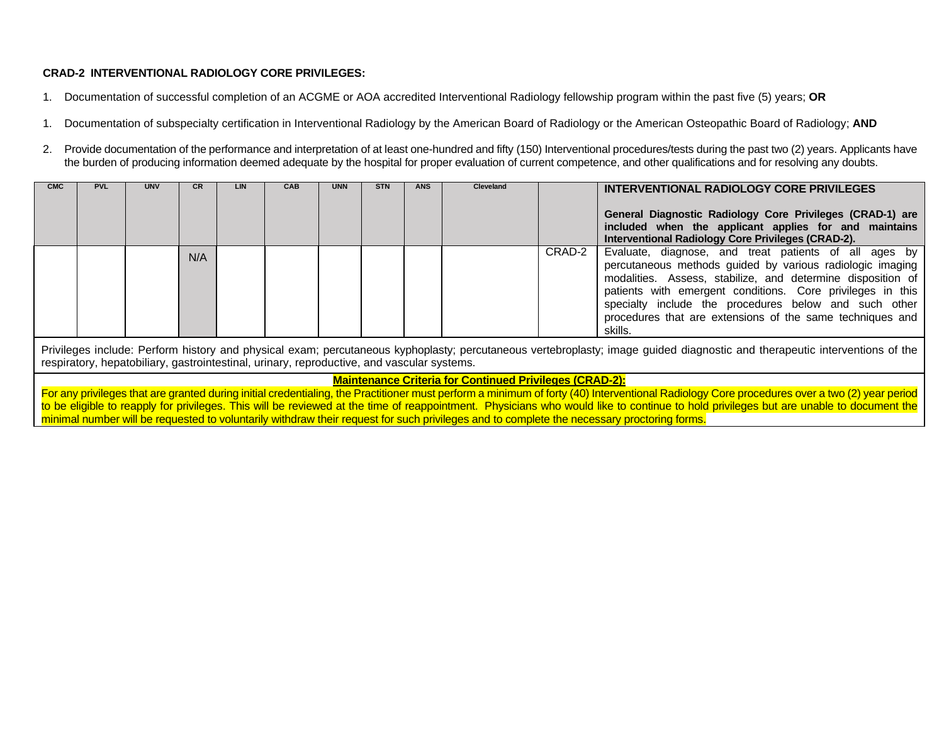# **CRAD-2 INTERVENTIONAL RADIOLOGY CORE PRIVILEGES:**

- 1. Documentation of successful completion of an ACGME or AOA accredited Interventional Radiology fellowship program within the past five (5) years; **OR**
- 1. Documentation of subspecialty certification in Interventional Radiology by the American Board of Radiology or the American Osteopathic Board of Radiology; **AND**
- 2. Provide documentation of the performance and interpretation of at least one-hundred and fifty (150) Interventional procedures/tests during the past two (2) years. Applicants have the burden of producing information deemed adequate by the hospital for proper evaluation of current competence, and other qualifications and for resolving any doubts.

| <b>CMC</b>                                                                                                                                                                                                                                                               | <b>PVL</b> | <b>UNV</b>               | <b>CR</b> | LIN | <b>CAB</b> | <b>UNN</b> | <b>STN</b> | <b>ANS</b> | <b>Cleveland</b>                                               |  | INTERVENTIONAL RADIOLOGY CORE PRIVILEGES<br>General Diagnostic Radiology Core Privileges (CRAD-1) are<br>included when the applicant applies for and maintains<br>Interventional Radiology Core Privileges (CRAD-2).                                                                                                                                                  |
|--------------------------------------------------------------------------------------------------------------------------------------------------------------------------------------------------------------------------------------------------------------------------|------------|--------------------------|-----------|-----|------------|------------|------------|------------|----------------------------------------------------------------|--|-----------------------------------------------------------------------------------------------------------------------------------------------------------------------------------------------------------------------------------------------------------------------------------------------------------------------------------------------------------------------|
|                                                                                                                                                                                                                                                                          |            | CRAD-2<br>N/A<br>skills. |           |     |            |            |            |            |                                                                |  | Evaluate, diagnose, and treat patients of all ages by<br>percutaneous methods guided by various radiologic imaging<br>modalities. Assess, stabilize, and determine disposition of<br>patients with emergent conditions. Core privileges in this<br>specialty include the procedures below and such other<br>procedures that are extensions of the same techniques and |
| Privileges include: Perform history and physical exam; percutaneous kyphoplasty; percutaneous vertebroplasty; image guided diagnostic and therapeutic interventions of the<br>respiratory, hepatobiliary, gastrointestinal, urinary, reproductive, and vascular systems. |            |                          |           |     |            |            |            |            |                                                                |  |                                                                                                                                                                                                                                                                                                                                                                       |
|                                                                                                                                                                                                                                                                          |            |                          |           |     |            |            |            |            | <b>Maintenance Criteria for Continued Privileges (CRAD-2):</b> |  |                                                                                                                                                                                                                                                                                                                                                                       |

For any privileges that are granted during initial credentialing, the Practitioner must perform a minimum of forty (40) Interventional Radiology Core procedures over a two (2) year period to be eligible to reapply for privileges. This will be reviewed at the time of reappointment. Physicians who would like to continue to hold privileges but are unable to document the minimal number will be requested to voluntarily withdraw their request for such privileges and to complete the necessary proctoring forms.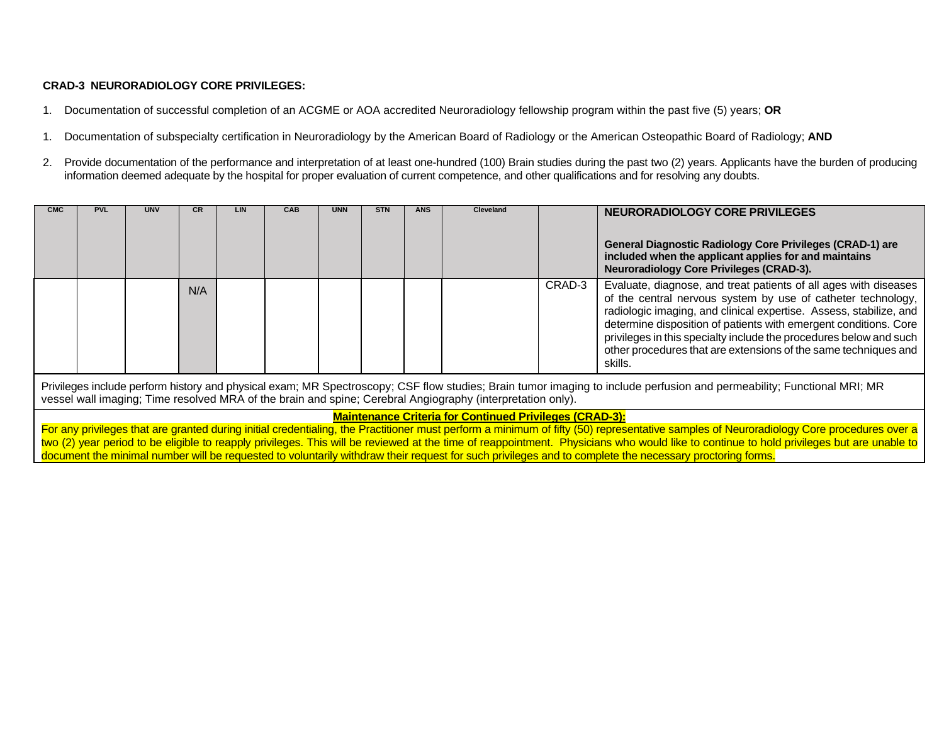## **CRAD-3 NEURORADIOLOGY CORE PRIVILEGES:**

- 1. Documentation of successful completion of an ACGME or AOA accredited Neuroradiology fellowship program within the past five (5) years; **OR**
- 1. Documentation of subspecialty certification in Neuroradiology by the American Board of Radiology or the American Osteopathic Board of Radiology; **AND**
- 2. Provide documentation of the performance and interpretation of at least one-hundred (100) Brain studies during the past two (2) years. Applicants have the burden of producing information deemed adequate by the hospital for proper evaluation of current competence, and other qualifications and for resolving any doubts.

| <b>CMC</b> | <b>PVL</b>                                                                                                                                                                                                                                                                           | <b>UNV</b> |  | <b>LIN</b> | <b>CAB</b> | <b>UNN</b> | <b>STN</b> | <b>ANS</b> | <b>Cleveland</b> |                                                                                                                                                                                                                                                                                                                                                                                                                     | NEURORADIOLOGY CORE PRIVILEGES                                                                                                                                        |
|------------|--------------------------------------------------------------------------------------------------------------------------------------------------------------------------------------------------------------------------------------------------------------------------------------|------------|--|------------|------------|------------|------------|------------|------------------|---------------------------------------------------------------------------------------------------------------------------------------------------------------------------------------------------------------------------------------------------------------------------------------------------------------------------------------------------------------------------------------------------------------------|-----------------------------------------------------------------------------------------------------------------------------------------------------------------------|
|            |                                                                                                                                                                                                                                                                                      |            |  |            |            |            |            |            |                  |                                                                                                                                                                                                                                                                                                                                                                                                                     | <b>General Diagnostic Radiology Core Privileges (CRAD-1) are</b><br>included when the applicant applies for and maintains<br>Neuroradiology Core Privileges (CRAD-3). |
|            | CRAD-3<br>N/A<br>skills.                                                                                                                                                                                                                                                             |            |  |            |            |            |            |            |                  | Evaluate, diagnose, and treat patients of all ages with diseases<br>of the central nervous system by use of catheter technology,<br>radiologic imaging, and clinical expertise. Assess, stabilize, and<br>determine disposition of patients with emergent conditions. Core<br>privileges in this specialty include the procedures below and such<br>other procedures that are extensions of the same techniques and |                                                                                                                                                                       |
|            | Privileges include perform history and physical exam; MR Spectroscopy; CSF flow studies; Brain tumor imaging to include perfusion and permeability; Functional MRI; MR<br>vessel wall imaging; Time resolved MRA of the brain and spine; Cerebral Angiography (interpretation only). |            |  |            |            |            |            |            |                  |                                                                                                                                                                                                                                                                                                                                                                                                                     |                                                                                                                                                                       |

#### **Maintenance Criteria for Continued Privileges (CRAD-3):**

For any privileges that are granted during initial credentialing, the Practitioner must perform a minimum of fifty (50) representative samples of Neuroradiology Core procedures over a two (2) year period to be eligible to reapply privileges. This will be reviewed at the time of reappointment. Physicians who would like to continue to hold privileges but are unable to document the minimal number will be requested to voluntarily withdraw their request for such privileges and to complete the necessary proctoring forms.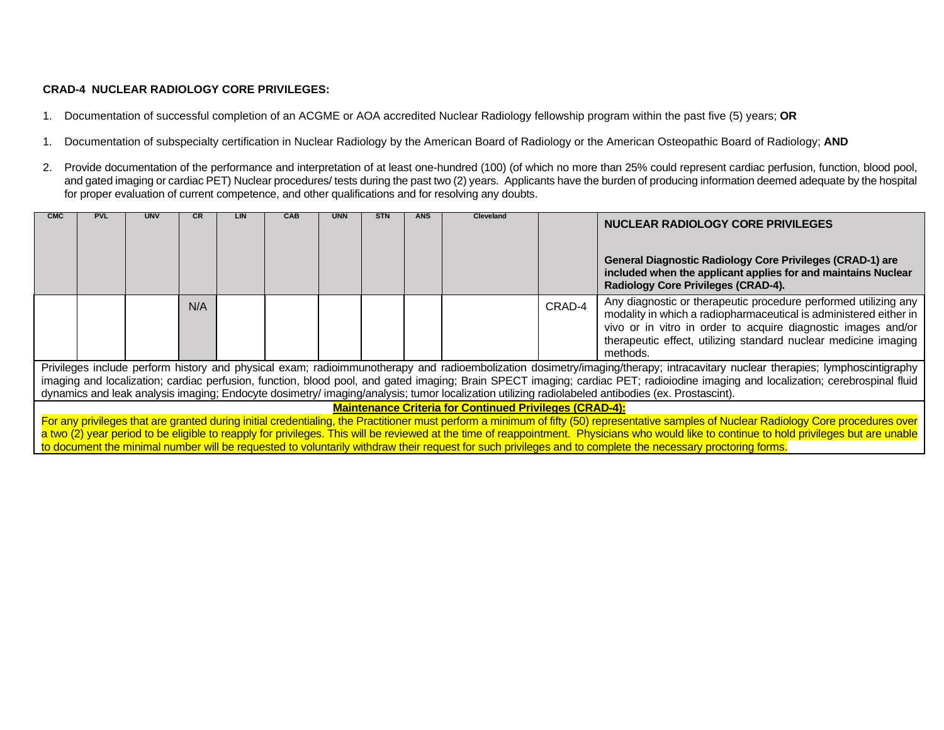# **CRAD-4 NUCLEAR RADIOLOGY CORE PRIVILEGES:**

- 1. Documentation of successful completion of an ACGME or AOA accredited Nuclear Radiology fellowship program within the past five (5) years; **OR**
- 1. Documentation of subspecialty certification in Nuclear Radiology by the American Board of Radiology or the American Osteopathic Board of Radiology; **AND**
- 2. Provide documentation of the performance and interpretation of at least one-hundred (100) (of which no more than 25% could represent cardiac perfusion, function, blood pool, and gated imaging or cardiac PET) Nuclear procedures/ tests during the past two (2) years. Applicants have the burden of producing information deemed adequate by the hospital for proper evaluation of current competence, and other qualifications and for resolving any doubts.

| <b>CMC</b> | <b>PVL</b> | <b>UNV</b> |     | LIN | CAB | <b>UNN</b> | <b>STN</b> | <b>ANS</b> | Cleveland                                                      |        | <b>NUCLEAR RADIOLOGY CORE PRIVILEGES</b>                                                                                                                                                                                                                                 |
|------------|------------|------------|-----|-----|-----|------------|------------|------------|----------------------------------------------------------------|--------|--------------------------------------------------------------------------------------------------------------------------------------------------------------------------------------------------------------------------------------------------------------------------|
|            |            |            |     |     |     |            |            |            |                                                                |        | <b>General Diagnostic Radiology Core Privileges (CRAD-1) are</b><br>included when the applicant applies for and maintains Nuclear<br>Radiology Core Privileges (CRAD-4).                                                                                                 |
|            |            |            | N/A |     |     |            |            |            |                                                                | CRAD-4 | Any diagnostic or therapeutic procedure performed utilizing any<br>modality in which a radiopharmaceutical is administered either in<br>vivo or in vitro in order to acquire diagnostic images and/or<br>therapeutic effect, utilizing standard nuclear medicine imaging |
|            |            |            |     |     |     |            |            |            |                                                                |        | methods.                                                                                                                                                                                                                                                                 |
|            |            |            |     |     |     |            |            |            |                                                                |        | Privileges include perform history and physical exam; radioimmunotherapy and radioembolization dosimetry/imaging/therapy; intracavitary nuclear therapies; lymphoscintigraphy                                                                                            |
|            |            |            |     |     |     |            |            |            |                                                                |        | imaging and localization; cardiac perfusion, function, blood pool, and gated imaging; Brain SPECT imaging; cardiac PET; radioiodine imaging and localization; cerebrospinal fluid                                                                                        |
|            |            |            |     |     |     |            |            |            |                                                                |        | dynamics and leak analysis imaging; Endocyte dosimetry/ imaging/analysis; tumor localization utilizing radiolabeled antibodies (ex. Prostascint).                                                                                                                        |
|            |            |            |     |     |     |            |            |            | <b>Maintenance Criteria for Continued Privileges (CRAD-4):</b> |        |                                                                                                                                                                                                                                                                          |
|            |            |            |     |     |     |            |            |            |                                                                |        | For any privileges that are granted during initial credentialing, the Practitioner must perform a minimum of fifty (50) representative samples of Nuclear Radiology Core procedures over                                                                                 |
|            |            |            |     |     |     |            |            |            |                                                                |        | a two (2) year period to be eligible to reapply for privileges. This will be reviewed at the time of reappointment. Physicians who would like to continue to hold privileges but are unable                                                                              |
|            |            |            |     |     |     |            |            |            |                                                                |        | to document the minimal number will be requested to voluntarily withdraw their request for such privileges and to complete the necessary proctoring forms.                                                                                                               |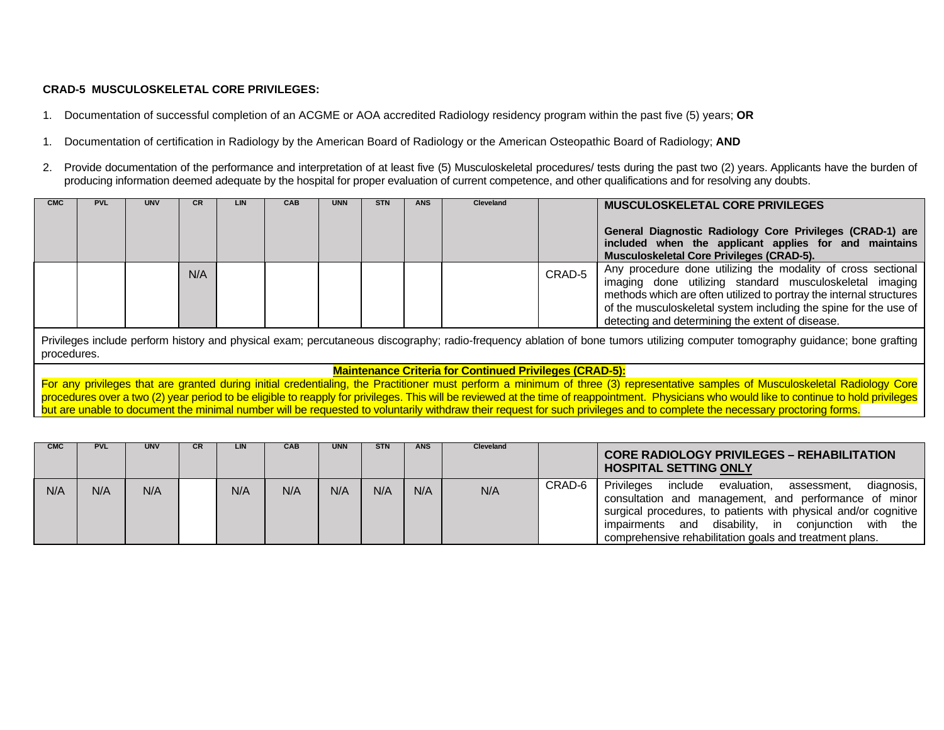### **CRAD-5 MUSCULOSKELETAL CORE PRIVILEGES:**

1. Documentation of successful completion of an ACGME or AOA accredited Radiology residency program within the past five (5) years; **OR**

- 1. Documentation of certification in Radiology by the American Board of Radiology or the American Osteopathic Board of Radiology; **AND**
- 2. Provide documentation of the performance and interpretation of at least five (5) Musculoskeletal procedures/ tests during the past two (2) years. Applicants have the burden of producing information deemed adequate by the hospital for proper evaluation of current competence, and other qualifications and for resolving any doubts.

| <b>CMC</b> | <b>PVL</b>                                                                                                                                                                                   | <b>UNV</b> | <b>CR</b> | <b>LIN</b> | CAB | <b>UNN</b> | <b>STN</b> | <b>ANS</b> | Cleveland |        | <b>MUSCULOSKELETAL CORE PRIVILEGES</b><br>General Diagnostic Radiology Core Privileges (CRAD-1) are<br>included when the applicant applies for and maintains<br><b>Musculoskeletal Core Privileges (CRAD-5).</b>                                                                                                       |  |
|------------|----------------------------------------------------------------------------------------------------------------------------------------------------------------------------------------------|------------|-----------|------------|-----|------------|------------|------------|-----------|--------|------------------------------------------------------------------------------------------------------------------------------------------------------------------------------------------------------------------------------------------------------------------------------------------------------------------------|--|
|            |                                                                                                                                                                                              |            | N/A       |            |     |            |            |            |           | CRAD-5 | Any procedure done utilizing the modality of cross sectional<br>imaging done utilizing standard musculoskeletal imaging<br>methods which are often utilized to portray the internal structures<br>of the musculoskeletal system including the spine for the use of<br>detecting and determining the extent of disease. |  |
|            | Privileges include perform history and physical exam; percutaneous discography; radio-frequency ablation of bone tumors utilizing computer tomography guidance; bone grafting<br>procedures. |            |           |            |     |            |            |            |           |        |                                                                                                                                                                                                                                                                                                                        |  |

#### **Maintenance Criteria for Continued Privileges (CRAD-5):**

For any privileges that are granted during initial credentialing, the Practitioner must perform a minimum of three (3) representative samples of Musculoskeletal Radiology Core procedures over a two (2) year period to be eligible to reapply for privileges. This will be reviewed at the time of reappointment. Physicians who would like to continue to hold privileges but are unable to document the minimal number will be requested to voluntarily withdraw their request for such privileges and to complete the necessary proctoring forms.

| <b>CMC</b> | <b>PVL</b> | <b>UNV</b> | <b>CR</b> | LIN | <b>CAB</b> | <b>UNN</b> | <b>STN</b> | <b>ANS</b> | <b>Cleveland</b> |        | <b>CORE RADIOLOGY PRIVILEGES - REHABILITATION</b><br><b>HOSPITAL SETTING ONLY</b>                                                                                                                                                                                                                                  |
|------------|------------|------------|-----------|-----|------------|------------|------------|------------|------------------|--------|--------------------------------------------------------------------------------------------------------------------------------------------------------------------------------------------------------------------------------------------------------------------------------------------------------------------|
| N/A        | N/A        | N/A        |           | N/A | N/A        | N/A        | N/A        | N/A        | N/A              | CRAD-6 | Privileges<br>include<br>evaluation,<br>diagnosis,<br>assessment.<br>consultation and management, and performance of minor<br>surgical procedures, to patients with physical and/or cognitive<br>disability, in conjunction with the<br>impairments and<br>comprehensive rehabilitation goals and treatment plans. |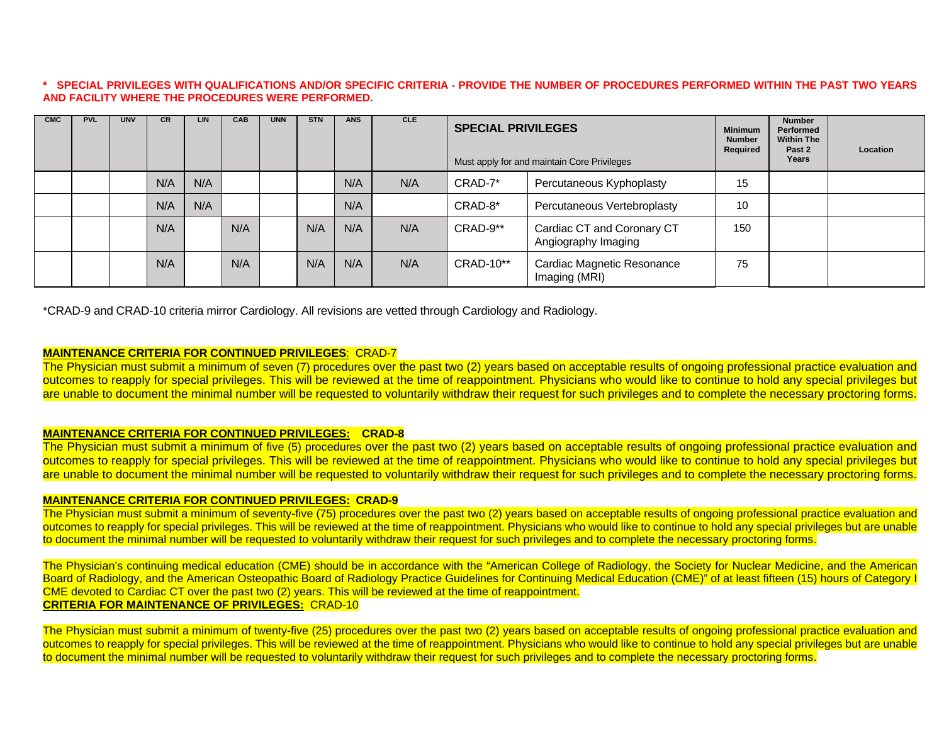#### **\* SPECIAL PRIVILEGES WITH QUALIFICATIONS AND/OR SPECIFIC CRITERIA - PROVIDE THE NUMBER OF PROCEDURES PERFORMED WITHIN THE PAST TWO YEARS AND FACILITY WHERE THE PROCEDURES WERE PERFORMED.**

| <b>CMC</b> | <b>PVL</b> | <b>UNV</b> | <b>CR</b> | <b>LIN</b> | CAB | <b>UNN</b> | <b>STN</b> | <b>ANS</b> | <b>CLE</b> | <b>SPECIAL PRIVILEGES</b><br>Must apply for and maintain Core Privileges | <b>Minimum</b><br><b>Number</b><br>Required       | <b>Number</b><br>Performed<br><b>Within The</b><br>Past 2<br>Years | Location |  |
|------------|------------|------------|-----------|------------|-----|------------|------------|------------|------------|--------------------------------------------------------------------------|---------------------------------------------------|--------------------------------------------------------------------|----------|--|
|            |            |            | N/A       | N/A        |     |            |            | N/A        | N/A        | CRAD-7*                                                                  | Percutaneous Kyphoplasty                          | 15                                                                 |          |  |
|            |            |            | N/A       | N/A        |     |            |            | N/A        |            | CRAD-8*                                                                  | Percutaneous Vertebroplasty                       | 10                                                                 |          |  |
|            |            |            | N/A       |            | N/A |            | N/A        | N/A        | N/A        | CRAD-9**                                                                 | Cardiac CT and Coronary CT<br>Angiography Imaging | 150                                                                |          |  |
|            |            |            | N/A       |            | N/A |            | N/A        | N/A        | N/A        | CRAD-10**                                                                | Cardiac Magnetic Resonance<br>Imaging (MRI)       | 75                                                                 |          |  |

\*CRAD-9 and CRAD-10 criteria mirror Cardiology. All revisions are vetted through Cardiology and Radiology.

#### **MAINTENANCE CRITERIA FOR CONTINUED PRIVILEGES**: CRAD-7

The Physician must submit a minimum of seven (7) procedures over the past two (2) years based on acceptable results of ongoing professional practice evaluation and outcomes to reapply for special privileges. This will be reviewed at the time of reappointment. Physicians who would like to continue to hold any special privileges but are unable to document the minimal number will be requested to voluntarily withdraw their request for such privileges and to complete the necessary proctoring forms.

#### **MAINTENANCE CRITERIA FOR CONTINUED PRIVILEGES: CRAD-8**

The Physician must submit a minimum of five (5) procedures over the past two (2) years based on acceptable results of ongoing professional practice evaluation and outcomes to reapply for special privileges. This will be reviewed at the time of reappointment. Physicians who would like to continue to hold any special privileges but are unable to document the minimal number will be requested to voluntarily withdraw their request for such privileges and to complete the necessary proctoring forms.

# **MAINTENANCE CRITERIA FOR CONTINUED PRIVILEGES: CRAD-9**

The Physician must submit a minimum of seventy-five (75) procedures over the past two (2) years based on acceptable results of ongoing professional practice evaluation and outcomes to reapply for special privileges. This will be reviewed at the time of reappointment. Physicians who would like to continue to hold any special privileges but are unable to document the minimal number will be requested to voluntarily withdraw their request for such privileges and to complete the necessary proctoring forms.

The Physician's continuing medical education (CME) should be in accordance with the "American College of Radiology, the Society for Nuclear Medicine, and the American Board of Radiology, and the American Osteopathic Board of Radiology Practice Guidelines for Continuing Medical Education (CME)" of at least fifteen (15) hours of Category I CME devoted to Cardiac CT over the past two (2) years. This will be reviewed at the time of reappointment. **CRITERIA FOR MAINTENANCE OF PRIVILEGES:** CRAD-10

The Physician must submit a minimum of twenty-five (25) procedures over the past two (2) years based on acceptable results of ongoing professional practice evaluation and outcomes to reapply for special privileges. This will be reviewed at the time of reappointment. Physicians who would like to continue to hold any special privileges but are unable to document the minimal number will be requested to voluntarily withdraw their request for such privileges and to complete the necessary proctoring forms.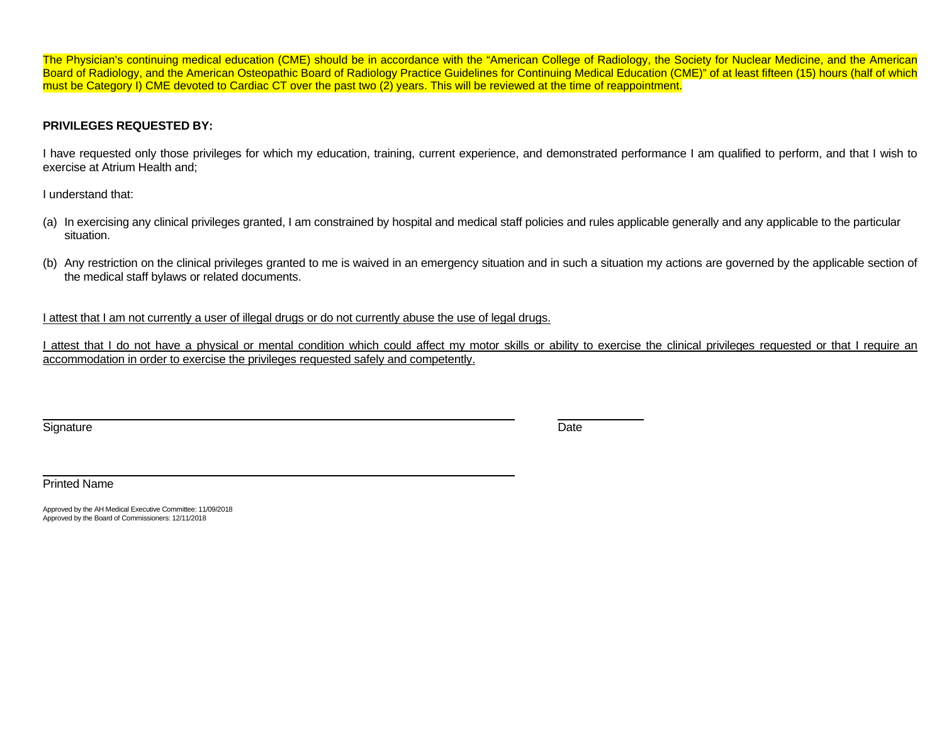The Physician's continuing medical education (CME) should be in accordance with the "American College of Radiology, the Society for Nuclear Medicine, and the American Board of Radiology, and the American Osteopathic Board of Radiology Practice Guidelines for Continuing Medical Education (CME)" of at least fifteen (15) hours (half of which must be Category I) CME devoted to Cardiac CT over the past two (2) years. This will be reviewed at the time of reappointment.

# **PRIVILEGES REQUESTED BY:**

I have requested only those privileges for which my education, training, current experience, and demonstrated performance I am qualified to perform, and that I wish to exercise at Atrium Health and;

I understand that:

- (a) In exercising any clinical privileges granted, I am constrained by hospital and medical staff policies and rules applicable generally and any applicable to the particular situation.
- (b) Any restriction on the clinical privileges granted to me is waived in an emergency situation and in such a situation my actions are governed by the applicable section of the medical staff bylaws or related documents.

I attest that I am not currently a user of illegal drugs or do not currently abuse the use of legal drugs.

I attest that I do not have a physical or mental condition which could affect my motor skills or ability to exercise the clinical privileges requested or that I require an accommodation in order to exercise the privileges requested safely and competently.

Signature **Date** 

Printed Name

Approved by the AH Medical Executive Committee: 11/09/2018 Approved by the Board of Commissioners: 12/11/2018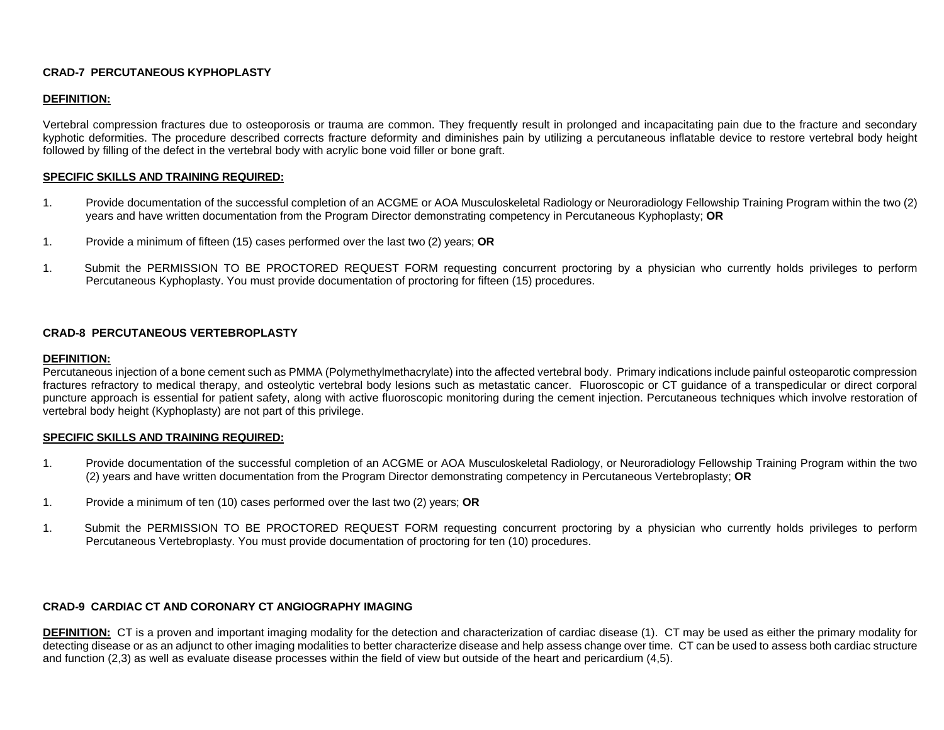### **CRAD-7 PERCUTANEOUS KYPHOPLASTY**

# **DEFINITION:**

Vertebral compression fractures due to osteoporosis or trauma are common. They frequently result in prolonged and incapacitating pain due to the fracture and secondary kyphotic deformities. The procedure described corrects fracture deformity and diminishes pain by utilizing a percutaneous inflatable device to restore vertebral body height followed by filling of the defect in the vertebral body with acrylic bone void filler or bone graft.

### **SPECIFIC SKILLS AND TRAINING REQUIRED:**

- 1. Provide documentation of the successful completion of an ACGME or AOA Musculoskeletal Radiology or Neuroradiology Fellowship Training Program within the two (2) years and have written documentation from the Program Director demonstrating competency in Percutaneous Kyphoplasty; **OR**
- 1. Provide a minimum of fifteen (15) cases performed over the last two (2) years; **OR**
- 1. Submit the PERMISSION TO BE PROCTORED REQUEST FORM requesting concurrent proctoring by a physician who currently holds privileges to perform Percutaneous Kyphoplasty. You must provide documentation of proctoring for fifteen (15) procedures.

#### **CRAD-8 PERCUTANEOUS VERTEBROPLASTY**

#### **DEFINITION:**

Percutaneous injection of a bone cement such as PMMA (Polymethylmethacrylate) into the affected vertebral body. Primary indications include painful osteoparotic compression fractures refractory to medical therapy, and osteolytic vertebral body lesions such as metastatic cancer. Fluoroscopic or CT guidance of a transpedicular or direct corporal puncture approach is essential for patient safety, along with active fluoroscopic monitoring during the cement injection. Percutaneous techniques which involve restoration of vertebral body height (Kyphoplasty) are not part of this privilege.

#### **SPECIFIC SKILLS AND TRAINING REQUIRED:**

- 1. Provide documentation of the successful completion of an ACGME or AOA Musculoskeletal Radiology, or Neuroradiology Fellowship Training Program within the two (2) years and have written documentation from the Program Director demonstrating competency in Percutaneous Vertebroplasty; **OR**
- 1. Provide a minimum of ten (10) cases performed over the last two (2) years; **OR**
- 1. Submit the PERMISSION TO BE PROCTORED REQUEST FORM requesting concurrent proctoring by a physician who currently holds privileges to perform Percutaneous Vertebroplasty. You must provide documentation of proctoring for ten (10) procedures.

### **CRAD-9 CARDIAC CT AND CORONARY CT ANGIOGRAPHY IMAGING**

**DEFINITION:** CT is a proven and important imaging modality for the detection and characterization of cardiac disease (1). CT may be used as either the primary modality for detecting disease or as an adjunct to other imaging modalities to better characterize disease and help assess change over time. CT can be used to assess both cardiac structure and function (2,3) as well as evaluate disease processes within the field of view but outside of the heart and pericardium (4,5).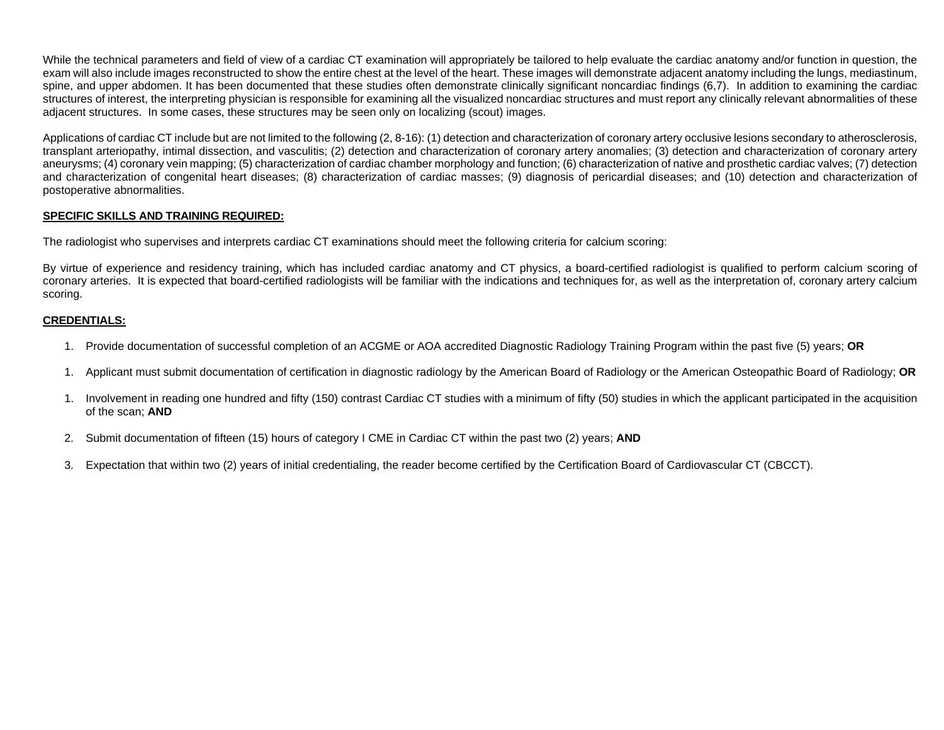While the technical parameters and field of view of a cardiac CT examination will appropriately be tailored to help evaluate the cardiac anatomy and/or function in question, the exam will also include images reconstructed to show the entire chest at the level of the heart. These images will demonstrate adjacent anatomy including the lungs, mediastinum, spine, and upper abdomen. It has been documented that these studies often demonstrate clinically significant noncardiac findings (6,7). In addition to examining the cardiac structures of interest, the interpreting physician is responsible for examining all the visualized noncardiac structures and must report any clinically relevant abnormalities of these adjacent structures. In some cases, these structures may be seen only on localizing (scout) images.

Applications of cardiac CT include but are not limited to the following (2, 8-16): (1) detection and characterization of coronary artery occlusive lesions secondary to atherosclerosis, transplant arteriopathy, intimal dissection, and vasculitis; (2) detection and characterization of coronary artery anomalies; (3) detection and characterization of coronary artery aneurysms; (4) coronary vein mapping; (5) characterization of cardiac chamber morphology and function; (6) characterization of native and prosthetic cardiac valves; (7) detection and characterization of congenital heart diseases; (8) characterization of cardiac masses; (9) diagnosis of pericardial diseases; and (10) detection and characterization of postoperative abnormalities.

# **SPECIFIC SKILLS AND TRAINING REQUIRED:**

The radiologist who supervises and interprets cardiac CT examinations should meet the following criteria for calcium scoring:

By virtue of experience and residency training, which has included cardiac anatomy and CT physics, a board-certified radiologist is qualified to perform calcium scoring of coronary arteries. It is expected that board-certified radiologists will be familiar with the indications and techniques for, as well as the interpretation of, coronary artery calcium scoring.

# **CREDENTIALS:**

- 1. Provide documentation of successful completion of an ACGME or AOA accredited Diagnostic Radiology Training Program within the past five (5) years; **OR**
- 1. Applicant must submit documentation of certification in diagnostic radiology by the American Board of Radiology or the American Osteopathic Board of Radiology; **OR**
- 1. Involvement in reading one hundred and fifty (150) contrast Cardiac CT studies with a minimum of fifty (50) studies in which the applicant participated in the acquisition of the scan; **AND**
- 2. Submit documentation of fifteen (15) hours of category I CME in Cardiac CT within the past two (2) years; **AND**
- 3. Expectation that within two (2) years of initial credentialing, the reader become certified by the Certification Board of Cardiovascular CT (CBCCT).